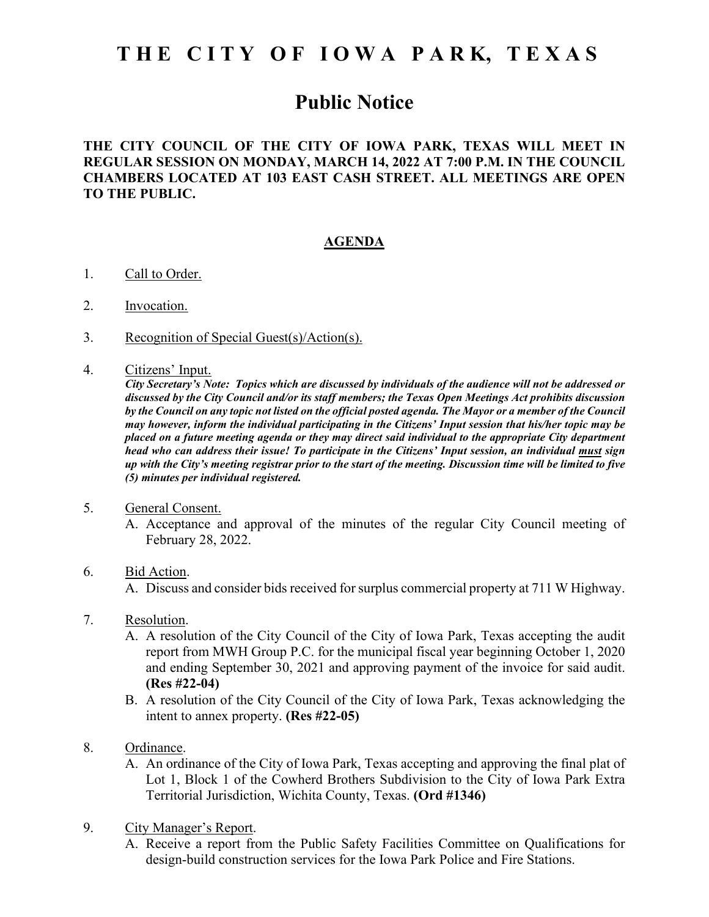# **T H E C I T Y O F I O W A P A R K, T E X A S**

# **Public Notice**

## **THE CITY COUNCIL OF THE CITY OF IOWA PARK, TEXAS WILL MEET IN REGULAR SESSION ON MONDAY, MARCH 14, 2022 AT 7:00 P.M. IN THE COUNCIL CHAMBERS LOCATED AT 103 EAST CASH STREET. ALL MEETINGS ARE OPEN TO THE PUBLIC.**

### **AGENDA**

- 1. Call to Order.
- 2. Invocation.
- 3. Recognition of Special Guest(s)/Action(s).
- 4. Citizens' Input.

*City Secretary's Note: Topics which are discussed by individuals of the audience will not be addressed or discussed by the City Council and/or its staff members; the Texas Open Meetings Act prohibits discussion by the Council on any topic not listed on the official posted agenda. The Mayor or a member of the Council may however, inform the individual participating in the Citizens' Input session that his/her topic may be placed on a future meeting agenda or they may direct said individual to the appropriate City department head who can address their issue! To participate in the Citizens' Input session, an individual must sign up with the City's meeting registrar prior to the start of the meeting. Discussion time will be limited to five (5) minutes per individual registered.*

#### 5. General Consent.

A. Acceptance and approval of the minutes of the regular City Council meeting of February 28, 2022.

#### 6. Bid Action.

A. Discuss and consider bids received for surplus commercial property at 711 W Highway.

#### 7. Resolution.

- A. A resolution of the City Council of the City of Iowa Park, Texas accepting the audit report from MWH Group P.C. for the municipal fiscal year beginning October 1, 2020 and ending September 30, 2021 and approving payment of the invoice for said audit. **(Res #22-04)**
- B. A resolution of the City Council of the City of Iowa Park, Texas acknowledging the intent to annex property. **(Res #22-05)**
- 8. Ordinance.
	- A. An ordinance of the City of Iowa Park, Texas accepting and approving the final plat of Lot 1, Block 1 of the Cowherd Brothers Subdivision to the City of Iowa Park Extra Territorial Jurisdiction, Wichita County, Texas. **(Ord #1346)**
- 9. City Manager's Report.
	- A. Receive a report from the Public Safety Facilities Committee on Qualifications for design-build construction services for the Iowa Park Police and Fire Stations.